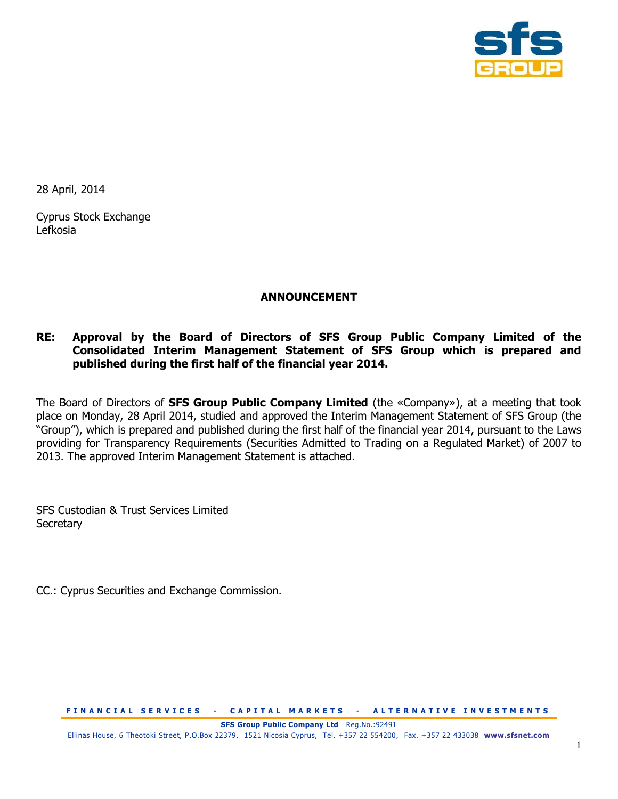

28 April, 2014

Cyprus Stock Exchange Lefkosia

# **ANNOUNCEMENT**

# **RE: Approval by the Board of Directors of SFS Group Public Company Limited of the Consolidated Interim Management Statement of SFS Group which is prepared and published during the first half of the financial year 2014.**

The Board of Directors of **SFS Group Public Company Limited** (the «Company»), at a meeting that took place on Monday, 28 April 2014, studied and approved the Interim Management Statement of SFS Group (the "Group"), which is prepared and published during the first half of the financial year 2014, pursuant to the Laws providing for Transparency Requirements (Securities Admitted to Trading on a Regulated Market) of 2007 to 2013. The approved Interim Management Statement is attached.

SFS Custodian & Trust Services Limited **Secretary** 

CC.: Cyprus Securities and Exchange Commission.

**FINANCIAL SERVICES - CAPITAL MARKETS - ALTERNATIVE INVESTMENTS** 

Ellinas House, 6 Theotoki Street, P.O.Box 22379, 1521 Nicosia Cyprus, Tel. +357 22 554200, Fax. +357 22 433038 **[www.sfsnet.com](http://www.sfsnet.com/)**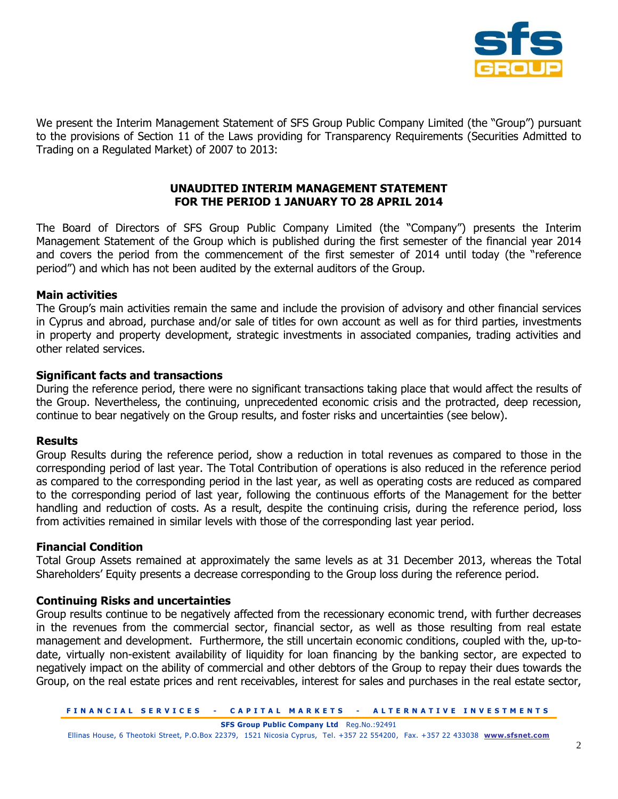

We present the Interim Management Statement of SFS Group Public Company Limited (the "Group") pursuant to the provisions of Section 11 of the Laws providing for Transparency Requirements (Securities Admitted to Trading on a Regulated Market) of 2007 to 2013:

### **UNAUDITED INTERIM MANAGEMENT STATEMENT FOR THE PERIOD 1 JANUARY TO 28 APRIL 2014**

The Board of Directors of SFS Group Public Company Limited (the "Company") presents the Interim Management Statement of the Group which is published during the first semester of the financial year 2014 and covers the period from the commencement of the first semester of 2014 until today (the "reference period") and which has not been audited by the external auditors of the Group.

### **Main activities**

The Group's main activities remain the same and include the provision of advisory and other financial services in Cyprus and abroad, purchase and/or sale of titles for own account as well as for third parties, investments in property and property development, strategic investments in associated companies, trading activities and other related services.

#### **Significant facts and transactions**

During the reference period, there were no significant transactions taking place that would affect the results of the Group. Nevertheless, the continuing, unprecedented economic crisis and the protracted, deep recession, continue to bear negatively on the Group results, and foster risks and uncertainties (see below).

### **Results**

Group Results during the reference period, show a reduction in total revenues as compared to those in the corresponding period of last year. The Total Contribution of operations is also reduced in the reference period as compared to the corresponding period in the last year, as well as operating costs are reduced as compared to the corresponding period of last year, following the continuous efforts of the Management for the better handling and reduction of costs. As a result, despite the continuing crisis, during the reference period, loss from activities remained in similar levels with those of the corresponding last year period.

### **Financial Condition**

Total Group Assets remained at approximately the same levels as at 31 December 2013, whereas the Total Shareholders' Equity presents a decrease corresponding to the Group loss during the reference period.

### **Continuing Risks and uncertainties**

Group results continue to be negatively affected from the recessionary economic trend, with further decreases in the revenues from the commercial sector, financial sector, as well as those resulting from real estate management and development. Furthermore, the still uncertain economic conditions, coupled with the, up-todate, virtually non-existent availability of liquidity for loan financing by the banking sector, are expected to negatively impact on the ability of commercial and other debtors of the Group to repay their dues towards the Group, on the real estate prices and rent receivables, interest for sales and purchases in the real estate sector,

Ellinas House, 6 Theotoki Street, P.O.Box 22379, 1521 Nicosia Cyprus, Tel. +357 22 554200, Fax. +357 22 433038 **[www.sfsnet.com](http://www.sfsnet.com/)**